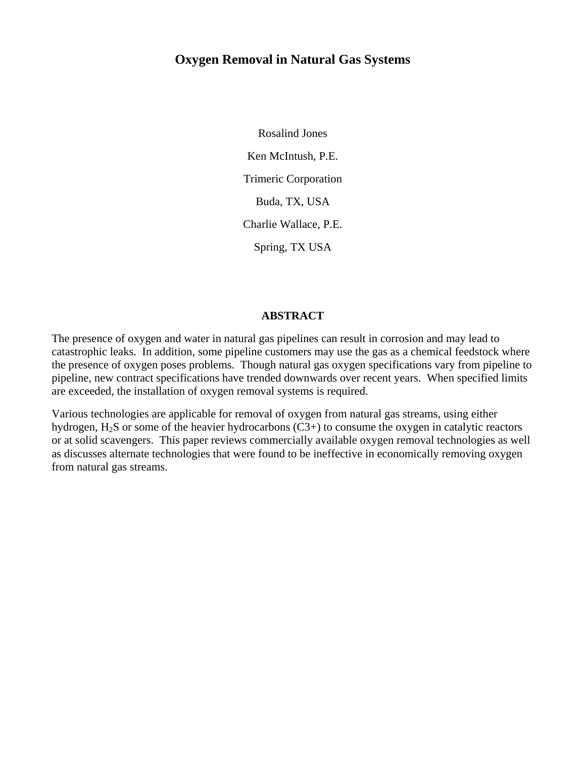## **Oxygen Removal in Natural Gas Systems**

Rosalind Jones Ken McIntush, P.E. Trimeric Corporation Buda, TX, USA Charlie Wallace, P.E. Spring, TX USA

#### **ABSTRACT**

The presence of oxygen and water in natural gas pipelines can result in corrosion and may lead to catastrophic leaks. In addition, some pipeline customers may use the gas as a chemical feedstock where the presence of oxygen poses problems. Though natural gas oxygen specifications vary from pipeline to pipeline, new contract specifications have trended downwards over recent years. When specified limits are exceeded, the installation of oxygen removal systems is required.

Various technologies are applicable for removal of oxygen from natural gas streams, using either hydrogen, H<sub>2</sub>S or some of the heavier hydrocarbons (C3+) to consume the oxygen in catalytic reactors or at solid scavengers. This paper reviews commercially available oxygen removal technologies as well as discusses alternate technologies that were found to be ineffective in economically removing oxygen from natural gas streams.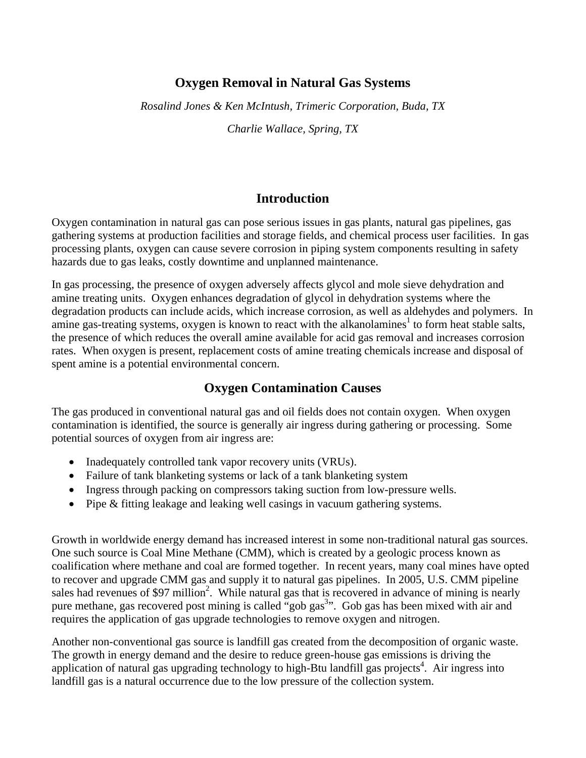## **Oxygen Removal in Natural Gas Systems**

*Rosalind Jones & Ken McIntush, Trimeric Corporation, Buda, TX* 

*Charlie Wallace, Spring, TX* 

## **Introduction**

Oxygen contamination in natural gas can pose serious issues in gas plants, natural gas pipelines, gas gathering systems at production facilities and storage fields, and chemical process user facilities. In gas processing plants, oxygen can cause severe corrosion in piping system components resulting in safety hazards due to gas leaks, costly downtime and unplanned maintenance.

In gas processing, the presence of oxygen adversely affects glycol and mole sieve dehydration and amine treating units. Oxygen enhances degradation of glycol in dehydration systems where the degradation products can include acids, which increase corrosion, as well as aldehydes and polymers. In amine gas-treating systems, oxygen is known to react with the alkanolamines<sup>1</sup> to form heat stable salts, the presence of which reduces the overall amine available for acid gas removal and increases corrosion rates. When oxygen is present, replacement costs of amine treating chemicals increase and disposal of spent amine is a potential environmental concern.

# **Oxygen Contamination Causes**

The gas produced in conventional natural gas and oil fields does not contain oxygen. When oxygen contamination is identified, the source is generally air ingress during gathering or processing. Some potential sources of oxygen from air ingress are:

- Inadequately controlled tank vapor recovery units (VRUs).
- Failure of tank blanketing systems or lack of a tank blanketing system
- Ingress through packing on compressors taking suction from low-pressure wells.
- Pipe & fitting leakage and leaking well casings in vacuum gathering systems.

Growth in worldwide energy demand has increased interest in some non-traditional natural gas sources. One such source is Coal Mine Methane (CMM), which is created by a geologic process known as coalification where methane and coal are formed together. In recent years, many coal mines have opted to recover and upgrade CMM gas and supply it to natural gas pipelines. In 2005, U.S. CMM pipeline sales had revenues of \$97 million<sup>2</sup>. While natural gas that is recovered in advance of mining is nearly pure methane, gas recovered post mining is called "gob gas<sup>3</sup>". Gob gas has been mixed with air and requires the application of gas upgrade technologies to remove oxygen and nitrogen.

Another non-conventional gas source is landfill gas created from the decomposition of organic waste. The growth in energy demand and the desire to reduce green-house gas emissions is driving the application of natural gas upgrading technology to high-Btu landfill gas projects<sup>4</sup>. Air ingress into landfill gas is a natural occurrence due to the low pressure of the collection system.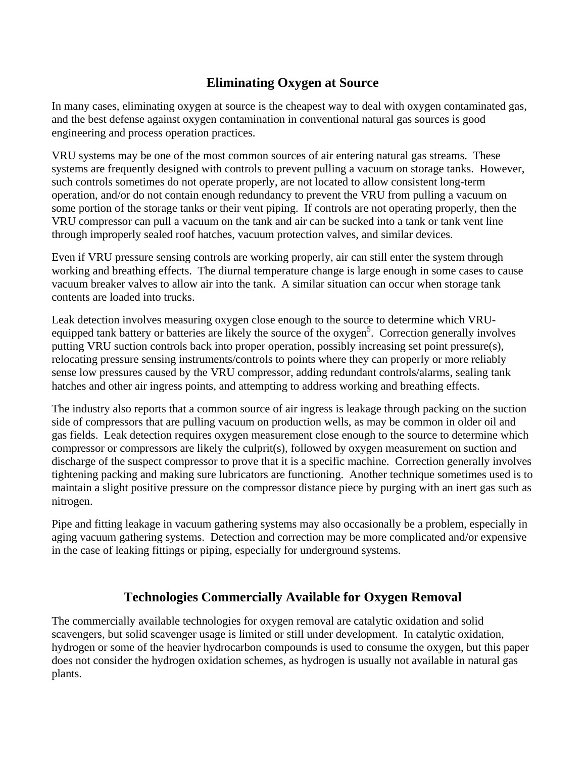# **Eliminating Oxygen at Source**

In many cases, eliminating oxygen at source is the cheapest way to deal with oxygen contaminated gas, and the best defense against oxygen contamination in conventional natural gas sources is good engineering and process operation practices.

VRU systems may be one of the most common sources of air entering natural gas streams. These systems are frequently designed with controls to prevent pulling a vacuum on storage tanks. However, such controls sometimes do not operate properly, are not located to allow consistent long-term operation, and/or do not contain enough redundancy to prevent the VRU from pulling a vacuum on some portion of the storage tanks or their vent piping. If controls are not operating properly, then the VRU compressor can pull a vacuum on the tank and air can be sucked into a tank or tank vent line through improperly sealed roof hatches, vacuum protection valves, and similar devices.

Even if VRU pressure sensing controls are working properly, air can still enter the system through working and breathing effects. The diurnal temperature change is large enough in some cases to cause vacuum breaker valves to allow air into the tank. A similar situation can occur when storage tank contents are loaded into trucks.

Leak detection involves measuring oxygen close enough to the source to determine which VRUequipped tank battery or batteries are likely the source of the oxygen<sup>5</sup>. Correction generally involves putting VRU suction controls back into proper operation, possibly increasing set point pressure(s), relocating pressure sensing instruments/controls to points where they can properly or more reliably sense low pressures caused by the VRU compressor, adding redundant controls/alarms, sealing tank hatches and other air ingress points, and attempting to address working and breathing effects.

The industry also reports that a common source of air ingress is leakage through packing on the suction side of compressors that are pulling vacuum on production wells, as may be common in older oil and gas fields. Leak detection requires oxygen measurement close enough to the source to determine which compressor or compressors are likely the culprit(s), followed by oxygen measurement on suction and discharge of the suspect compressor to prove that it is a specific machine. Correction generally involves tightening packing and making sure lubricators are functioning. Another technique sometimes used is to maintain a slight positive pressure on the compressor distance piece by purging with an inert gas such as nitrogen.

Pipe and fitting leakage in vacuum gathering systems may also occasionally be a problem, especially in aging vacuum gathering systems. Detection and correction may be more complicated and/or expensive in the case of leaking fittings or piping, especially for underground systems.

# **Technologies Commercially Available for Oxygen Removal**

The commercially available technologies for oxygen removal are catalytic oxidation and solid scavengers, but solid scavenger usage is limited or still under development. In catalytic oxidation, hydrogen or some of the heavier hydrocarbon compounds is used to consume the oxygen, but this paper does not consider the hydrogen oxidation schemes, as hydrogen is usually not available in natural gas plants.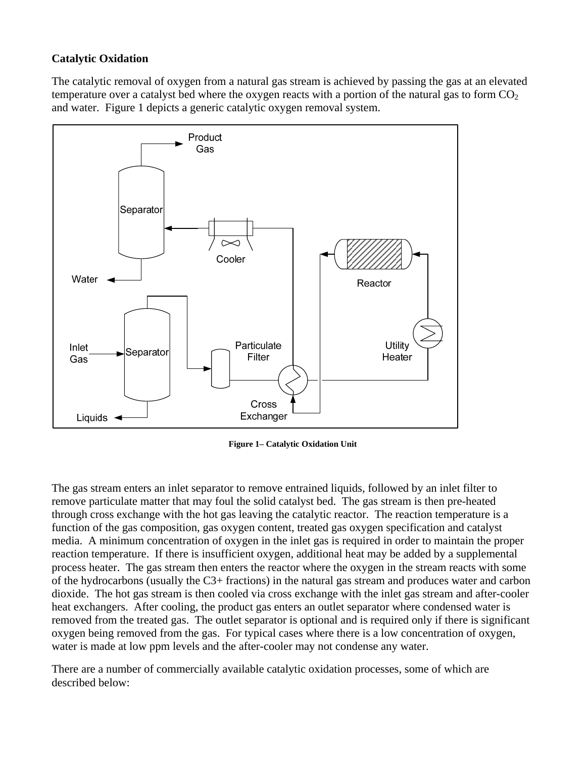### **Catalytic Oxidation**

The catalytic removal of oxygen from a natural gas stream is achieved by passing the gas at an elevated temperature over a catalyst bed where the oxygen reacts with a portion of the natural gas to form  $CO<sub>2</sub>$ and water. Figure 1 depicts a generic catalytic oxygen removal system.



**Figure 1– Catalytic Oxidation Unit** 

The gas stream enters an inlet separator to remove entrained liquids, followed by an inlet filter to remove particulate matter that may foul the solid catalyst bed. The gas stream is then pre-heated through cross exchange with the hot gas leaving the catalytic reactor. The reaction temperature is a function of the gas composition, gas oxygen content, treated gas oxygen specification and catalyst media. A minimum concentration of oxygen in the inlet gas is required in order to maintain the proper reaction temperature. If there is insufficient oxygen, additional heat may be added by a supplemental process heater. The gas stream then enters the reactor where the oxygen in the stream reacts with some of the hydrocarbons (usually the C3+ fractions) in the natural gas stream and produces water and carbon dioxide. The hot gas stream is then cooled via cross exchange with the inlet gas stream and after-cooler heat exchangers. After cooling, the product gas enters an outlet separator where condensed water is removed from the treated gas. The outlet separator is optional and is required only if there is significant oxygen being removed from the gas. For typical cases where there is a low concentration of oxygen, water is made at low ppm levels and the after-cooler may not condense any water.

There are a number of commercially available catalytic oxidation processes, some of which are described below: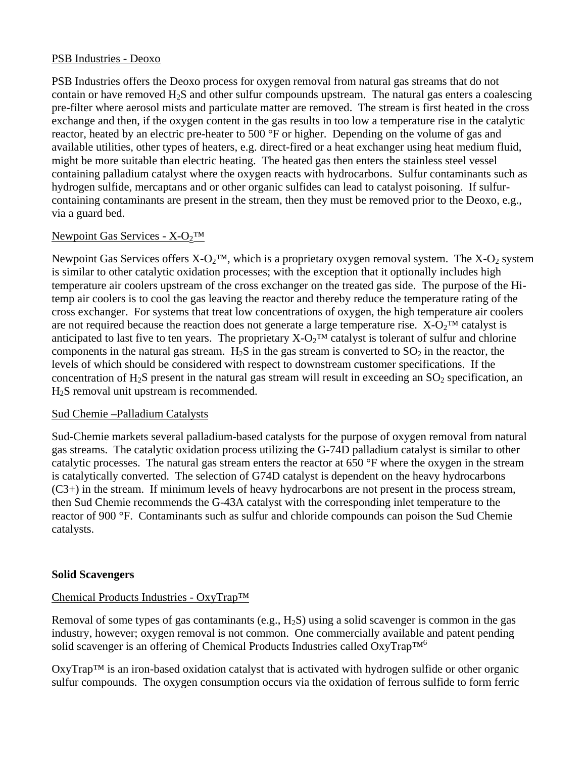### PSB Industries - Deoxo

PSB Industries offers the Deoxo process for oxygen removal from natural gas streams that do not contain or have removed  $H_2S$  and other sulfur compounds upstream. The natural gas enters a coalescing pre-filter where aerosol mists and particulate matter are removed. The stream is first heated in the cross exchange and then, if the oxygen content in the gas results in too low a temperature rise in the catalytic reactor, heated by an electric pre-heater to 500 °F or higher. Depending on the volume of gas and available utilities, other types of heaters, e.g. direct-fired or a heat exchanger using heat medium fluid, might be more suitable than electric heating. The heated gas then enters the stainless steel vessel containing palladium catalyst where the oxygen reacts with hydrocarbons. Sulfur contaminants such as hydrogen sulfide, mercaptans and or other organic sulfides can lead to catalyst poisoning. If sulfurcontaining contaminants are present in the stream, then they must be removed prior to the Deoxo, e.g., via a guard bed.

### Newpoint Gas Services -  $X-O<sub>2</sub>TM$

Newpoint Gas Services offers  $X-O_2^{\text{TM}}$ , which is a proprietary oxygen removal system. The  $X-O_2$  system is similar to other catalytic oxidation processes; with the exception that it optionally includes high temperature air coolers upstream of the cross exchanger on the treated gas side. The purpose of the Hitemp air coolers is to cool the gas leaving the reactor and thereby reduce the temperature rating of the cross exchanger. For systems that treat low concentrations of oxygen, the high temperature air coolers are not required because the reaction does not generate a large temperature rise.  $X-O_2^{\text{TM}}$  catalyst is anticipated to last five to ten years. The proprietary  $X-O<sub>2</sub>TM$  catalyst is tolerant of sulfur and chlorine components in the natural gas stream.  $H_2S$  in the gas stream is converted to  $SO_2$  in the reactor, the levels of which should be considered with respect to downstream customer specifications. If the concentration of  $H_2S$  present in the natural gas stream will result in exceeding an  $SO_2$  specification, an H2S removal unit upstream is recommended.

#### Sud Chemie –Palladium Catalysts

Sud-Chemie markets several palladium-based catalysts for the purpose of oxygen removal from natural gas streams. The catalytic oxidation process utilizing the G-74D palladium catalyst is similar to other catalytic processes. The natural gas stream enters the reactor at 650 °F where the oxygen in the stream is catalytically converted. The selection of G74D catalyst is dependent on the heavy hydrocarbons (C3+) in the stream. If minimum levels of heavy hydrocarbons are not present in the process stream, then Sud Chemie recommends the G-43A catalyst with the corresponding inlet temperature to the reactor of 900 °F. Contaminants such as sulfur and chloride compounds can poison the Sud Chemie catalysts.

#### **Solid Scavengers**

#### Chemical Products Industries - OxyTrap™

Removal of some types of gas contaminants (e.g.,  $H_2S$ ) using a solid scavenger is common in the gas industry, however; oxygen removal is not common. One commercially available and patent pending solid scavenger is an offering of Chemical Products Industries called  $OxyTrap^{TM^6}$ 

OxyTrap™ is an iron-based oxidation catalyst that is activated with hydrogen sulfide or other organic sulfur compounds. The oxygen consumption occurs via the oxidation of ferrous sulfide to form ferric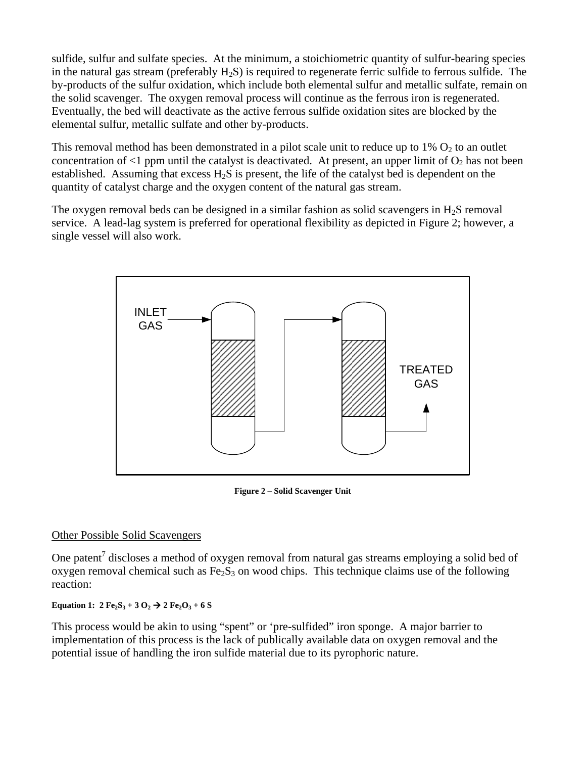sulfide, sulfur and sulfate species. At the minimum, a stoichiometric quantity of sulfur-bearing species in the natural gas stream (preferably  $H_2S$ ) is required to regenerate ferric sulfide to ferrous sulfide. The by-products of the sulfur oxidation, which include both elemental sulfur and metallic sulfate, remain on the solid scavenger. The oxygen removal process will continue as the ferrous iron is regenerated. Eventually, the bed will deactivate as the active ferrous sulfide oxidation sites are blocked by the elemental sulfur, metallic sulfate and other by-products.

This removal method has been demonstrated in a pilot scale unit to reduce up to  $1\%$  O<sub>2</sub> to an outlet concentration of  $\leq 1$  ppm until the catalyst is deactivated. At present, an upper limit of  $O_2$  has not been established. Assuming that excess  $H_2S$  is present, the life of the catalyst bed is dependent on the quantity of catalyst charge and the oxygen content of the natural gas stream.

The oxygen removal beds can be designed in a similar fashion as solid scavengers in  $H_2S$  removal service. A lead-lag system is preferred for operational flexibility as depicted in Figure 2; however, a single vessel will also work.



**Figure 2 – Solid Scavenger Unit** 

### Other Possible Solid Scavengers

One patent<sup>7</sup> discloses a method of oxygen removal from natural gas streams employing a solid bed of oxygen removal chemical such as  $Fe<sub>2</sub>S<sub>3</sub>$  on wood chips. This technique claims use of the following reaction:

### **Equation 1:**  $2 \text{Fe}_2\text{S}_3 + 3 \text{O}_2 \rightarrow 2 \text{Fe}_2\text{O}_3 + 6 \text{S}$

This process would be akin to using "spent" or 'pre-sulfided" iron sponge. A major barrier to implementation of this process is the lack of publically available data on oxygen removal and the potential issue of handling the iron sulfide material due to its pyrophoric nature.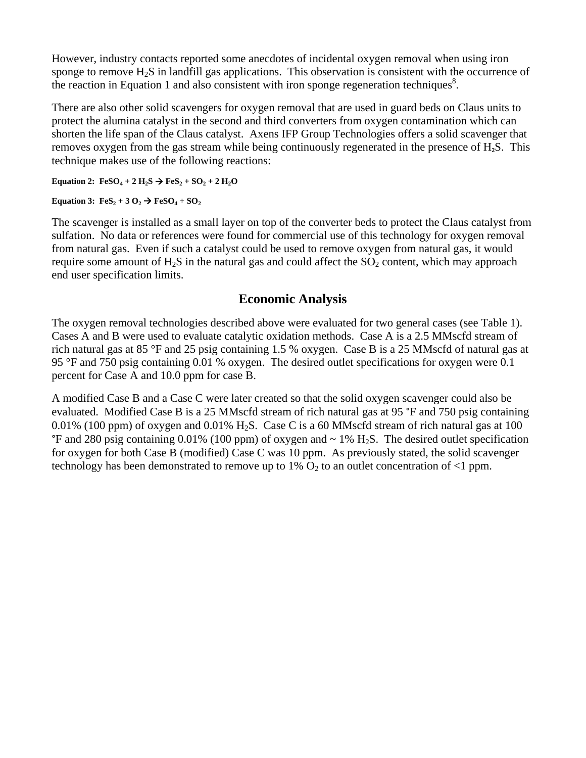However, industry contacts reported some anecdotes of incidental oxygen removal when using iron sponge to remove H<sub>2</sub>S in landfill gas applications. This observation is consistent with the occurrence of the reaction in Equation 1 and also consistent with iron sponge regeneration techniques<sup>8</sup>.

There are also other solid scavengers for oxygen removal that are used in guard beds on Claus units to protect the alumina catalyst in the second and third converters from oxygen contamination which can shorten the life span of the Claus catalyst. Axens IFP Group Technologies offers a solid scavenger that removes oxygen from the gas stream while being continuously regenerated in the presence of H**2**S. This technique makes use of the following reactions:

**Equation 2:**  $FeSO_4 + 2 H_2S \rightarrow FeS_2 + SO_2 + 2 H_2O$ 

**Equation 3:**  $\text{FeS}_2 + 3 \text{ O}_2 \rightarrow \text{FeSO}_4 + \text{SO}_2$ 

The scavenger is installed as a small layer on top of the converter beds to protect the Claus catalyst from sulfation. No data or references were found for commercial use of this technology for oxygen removal from natural gas. Even if such a catalyst could be used to remove oxygen from natural gas, it would require some amount of  $H_2S$  in the natural gas and could affect the  $SO_2$  content, which may approach end user specification limits.

## **Economic Analysis**

The oxygen removal technologies described above were evaluated for two general cases (see Table 1). Cases A and B were used to evaluate catalytic oxidation methods. Case A is a 2.5 MMscfd stream of rich natural gas at 85 °F and 25 psig containing 1.5 % oxygen. Case B is a 25 MMscfd of natural gas at 95 °F and 750 psig containing 0.01 % oxygen. The desired outlet specifications for oxygen were 0.1 percent for Case A and 10.0 ppm for case B.

A modified Case B and a Case C were later created so that the solid oxygen scavenger could also be evaluated. Modified Case B is a 25 MMscfd stream of rich natural gas at 95 °F and 750 psig containing 0.01% (100 ppm) of oxygen and 0.01% H<sub>2</sub>S. Case C is a 60 MMscfd stream of rich natural gas at 100  $\degree$ F and 280 psig containing 0.01% (100 ppm) of oxygen and  $\sim$  1% H<sub>2</sub>S. The desired outlet specification for oxygen for both Case B (modified) Case C was 10 ppm. As previously stated, the solid scavenger technology has been demonstrated to remove up to  $1\%$  O<sub>2</sub> to an outlet concentration of <1 ppm.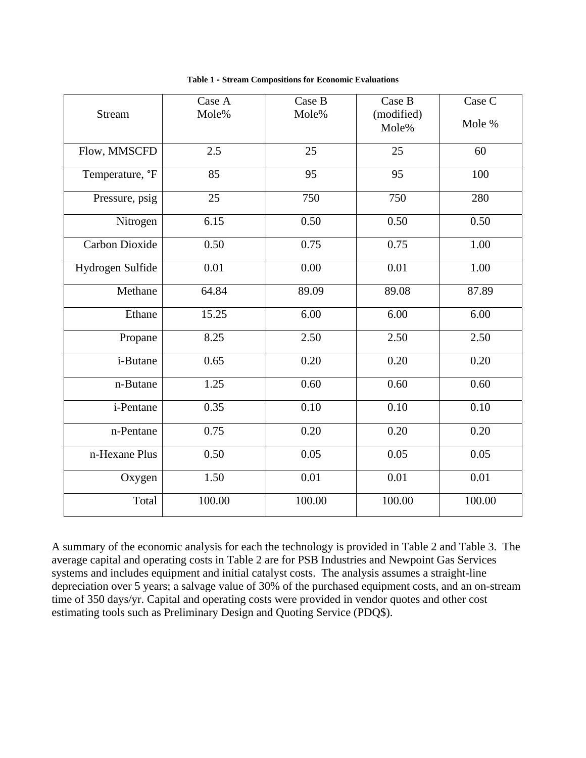| <b>Stream</b>         | Case A<br>Mole% | Case B<br>Mole% | Case B              | Case C   |
|-----------------------|-----------------|-----------------|---------------------|----------|
|                       |                 |                 | (modified)<br>Mole% | Mole %   |
| Flow, MMSCFD          | 2.5             | 25              | 25                  | 60       |
| Temperature, °F       | 85              | 95              | 95                  | 100      |
| Pressure, psig        | 25              | 750             | 750                 | 280      |
| Nitrogen              | 6.15            | 0.50            | 0.50                | 0.50     |
| <b>Carbon Dioxide</b> | 0.50            | 0.75            | 0.75                | 1.00     |
| Hydrogen Sulfide      | 0.01            | 0.00            | 0.01                | 1.00     |
| Methane               | 64.84           | 89.09           | 89.08               | 87.89    |
| Ethane                | 15.25           | 6.00            | 6.00                | 6.00     |
| Propane               | 8.25            | 2.50            | 2.50                | 2.50     |
| i-Butane              | 0.65            | 0.20            | 0.20                | 0.20     |
| n-Butane              | 1.25            | 0.60            | 0.60                | 0.60     |
| i-Pentane             | 0.35            | 0.10            | 0.10                | 0.10     |
| n-Pentane             | 0.75            | 0.20            | 0.20                | 0.20     |
| n-Hexane Plus         | 0.50            | 0.05            | 0.05                | 0.05     |
| Oxygen                | 1.50            | 0.01            | 0.01                | $0.01\,$ |
| Total                 | 100.00          | 100.00          | 100.00              | 100.00   |

**Table 1 - Stream Compositions for Economic Evaluations** 

A summary of the economic analysis for each the technology is provided in Table 2 and Table 3. The average capital and operating costs in Table 2 are for PSB Industries and Newpoint Gas Services systems and includes equipment and initial catalyst costs. The analysis assumes a straight-line depreciation over 5 years; a salvage value of 30% of the purchased equipment costs, and an on-stream time of 350 days/yr. Capital and operating costs were provided in vendor quotes and other cost estimating tools such as Preliminary Design and Quoting Service (PDQ\$).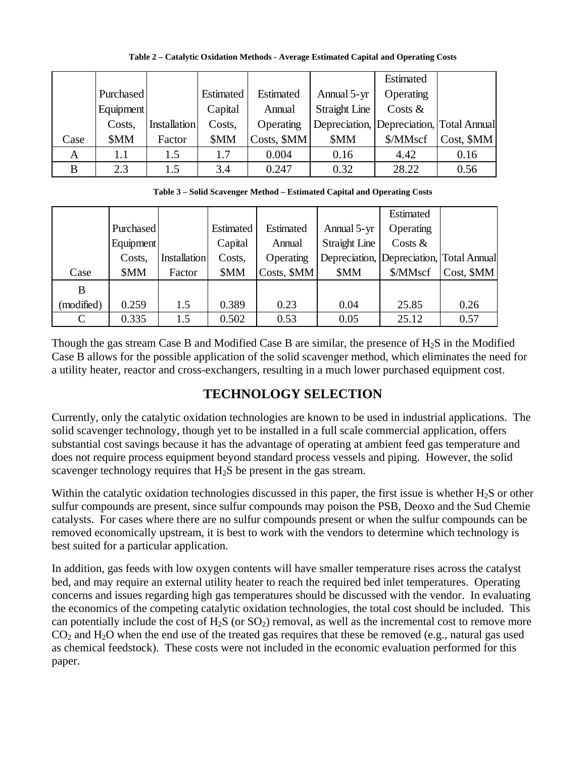|      |                  |              |           |             |                      | Estimated                                |            |
|------|------------------|--------------|-----------|-------------|----------------------|------------------------------------------|------------|
|      | <b>Purchased</b> |              | Estimated | Estimated   | Annual 5-yr          | Operating                                |            |
|      | Equipment        |              | Capital   | Annual      | <b>Straight Line</b> | Costs $\&$                               |            |
|      | Costs,           | Installation | Costs,    | Operating   |                      | Depreciation, Depreciation, Total Annual |            |
| Case | \$MM             | Factor       | \$MM      | Costs, \$MM | \$MM                 | \$/MMscf                                 | Cost, \$MM |
| A    | 1.1              | 1.5          | 1.7       | 0.004       | 0.16                 | 4.42                                     | 0.16       |
| B    | 2.3              | 1.5          | 3.4       | 0.247       | 0.32                 | 28.22                                    | 0.56       |

**Table 2 – Catalytic Oxidation Methods - Average Estimated Capital and Operating Costs** 

**Table 3 – Solid Scavenger Method – Estimated Capital and Operating Costs** 

|            |           |                     |           |             |                      | Estimated                                |            |
|------------|-----------|---------------------|-----------|-------------|----------------------|------------------------------------------|------------|
|            | Purchased |                     | Estimated | Estimated   | Annual 5-yr          | Operating                                |            |
|            | Equipment |                     | Capital   | Annual      | <b>Straight Line</b> | Costs $\&$                               |            |
|            | Costs,    | <b>Installation</b> | Costs,    | Operating   |                      | Depreciation, Depreciation, Total Annual |            |
| Case       | \$MM      | Factor              | \$MM      | Costs, \$MM | \$MM                 | \$/MMscf                                 | Cost, \$MM |
| B          |           |                     |           |             |                      |                                          |            |
| (modified) | 0.259     | 1.5                 | 0.389     | 0.23        | 0.04                 | 25.85                                    | 0.26       |
| C          | 0.335     | 1.5                 | 0.502     | 0.53        | 0.05                 | 25.12                                    | 0.57       |

Though the gas stream Case B and Modified Case B are similar, the presence of  $H_2S$  in the Modified Case B allows for the possible application of the solid scavenger method, which eliminates the need for a utility heater, reactor and cross-exchangers, resulting in a much lower purchased equipment cost.

# **TECHNOLOGY SELECTION**

Currently, only the catalytic oxidation technologies are known to be used in industrial applications. The solid scavenger technology, though yet to be installed in a full scale commercial application, offers substantial cost savings because it has the advantage of operating at ambient feed gas temperature and does not require process equipment beyond standard process vessels and piping. However, the solid scavenger technology requires that H<sub>2</sub>S be present in the gas stream.

Within the catalytic oxidation technologies discussed in this paper, the first issue is whether H<sub>2</sub>S or other sulfur compounds are present, since sulfur compounds may poison the PSB, Deoxo and the Sud Chemie catalysts. For cases where there are no sulfur compounds present or when the sulfur compounds can be removed economically upstream, it is best to work with the vendors to determine which technology is best suited for a particular application.

In addition, gas feeds with low oxygen contents will have smaller temperature rises across the catalyst bed, and may require an external utility heater to reach the required bed inlet temperatures. Operating concerns and issues regarding high gas temperatures should be discussed with the vendor. In evaluating the economics of the competing catalytic oxidation technologies, the total cost should be included. This can potentially include the cost of  $H_2S$  (or  $SO_2$ ) removal, as well as the incremental cost to remove more  $CO<sub>2</sub>$  and H<sub>2</sub>O when the end use of the treated gas requires that these be removed (e.g., natural gas used as chemical feedstock). These costs were not included in the economic evaluation performed for this paper.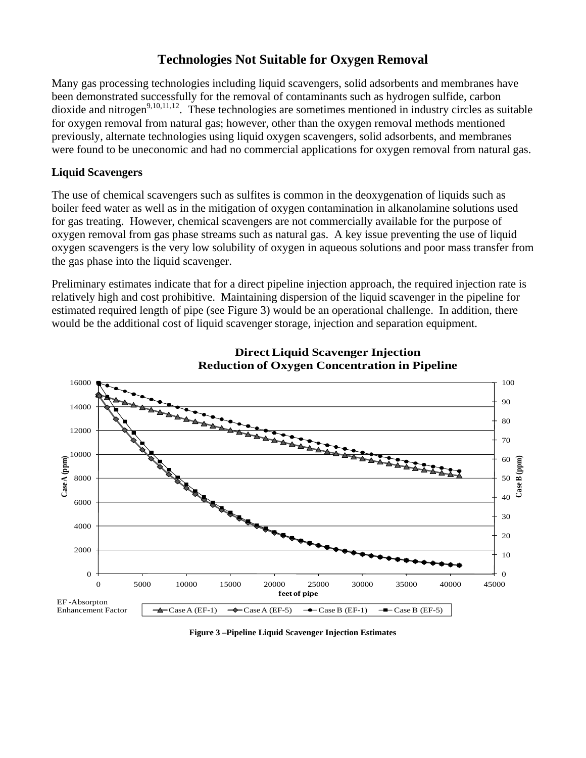## **Technologies Not Suitable for Oxygen Removal**

Many gas processing technologies including liquid scavengers, solid adsorbents and membranes have been demonstrated successfully for the removal of contaminants such as hydrogen sulfide, carbon dioxide and nitrogen<sup>9,10,11,12</sup>. These technologies are sometimes mentioned in industry circles as suitable for oxygen removal from natural gas; however, other than the oxygen removal methods mentioned previously, alternate technologies using liquid oxygen scavengers, solid adsorbents, and membranes were found to be uneconomic and had no commercial applications for oxygen removal from natural gas.

### **Liquid Scavengers**

The use of chemical scavengers such as sulfites is common in the deoxygenation of liquids such as boiler feed water as well as in the mitigation of oxygen contamination in alkanolamine solutions used for gas treating. However, chemical scavengers are not commercially available for the purpose of oxygen removal from gas phase streams such as natural gas. A key issue preventing the use of liquid oxygen scavengers is the very low solubility of oxygen in aqueous solutions and poor mass transfer from the gas phase into the liquid scavenger.

Preliminary estimates indicate that for a direct pipeline injection approach, the required injection rate is relatively high and cost prohibitive. Maintaining dispersion of the liquid scavenger in the pipeline for estimated required length of pipe (see Figure 3) would be an operational challenge. In addition, there would be the additional cost of liquid scavenger storage, injection and separation equipment.





**Figure 3 –Pipeline Liquid Scavenger Injection Estimates**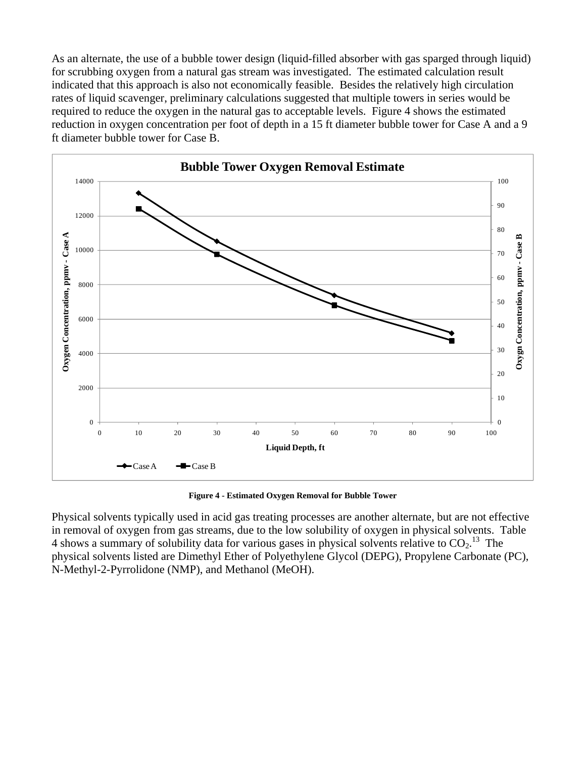As an alternate, the use of a bubble tower design (liquid-filled absorber with gas sparged through liquid) for scrubbing oxygen from a natural gas stream was investigated. The estimated calculation result indicated that this approach is also not economically feasible. Besides the relatively high circulation rates of liquid scavenger, preliminary calculations suggested that multiple towers in series would be required to reduce the oxygen in the natural gas to acceptable levels. Figure 4 shows the estimated reduction in oxygen concentration per foot of depth in a 15 ft diameter bubble tower for Case A and a 9 ft diameter bubble tower for Case B.



**Figure 4 - Estimated Oxygen Removal for Bubble Tower** 

Physical solvents typically used in acid gas treating processes are another alternate, but are not effective in removal of oxygen from gas streams, due to the low solubility of oxygen in physical solvents. Table 4 shows a summary of solubility data for various gases in physical solvents relative to  $CO<sub>2</sub>$ .<sup>13</sup> The physical solvents listed are Dimethyl Ether of Polyethylene Glycol (DEPG), Propylene Carbonate (PC), N-Methyl-2-Pyrrolidone (NMP), and Methanol (MeOH).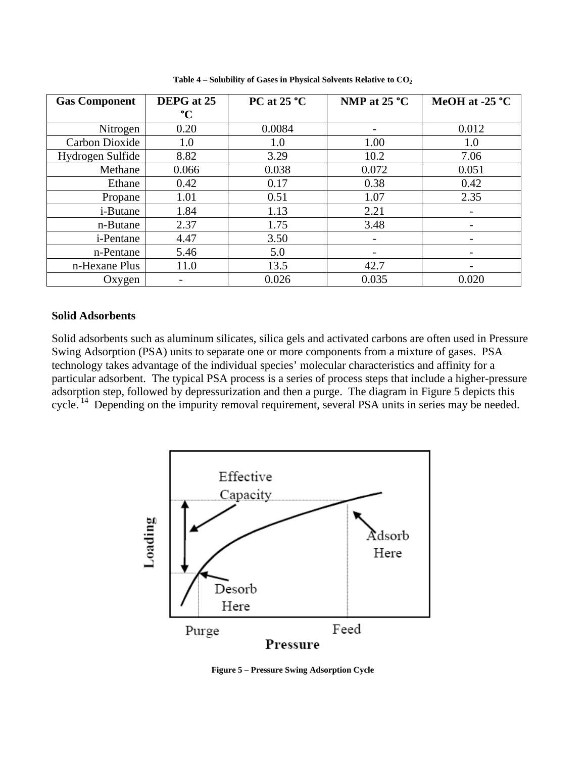| <b>Gas Component</b> | DEPG at 25      | PC at $25^{\circ}$ C | NMP at $25^{\circ}$ C | MeOH at -25 $^{\circ}$ C |
|----------------------|-----------------|----------------------|-----------------------|--------------------------|
|                      | $\rm ^{\circ}C$ |                      |                       |                          |
| Nitrogen             | 0.20            | 0.0084               |                       | 0.012                    |
| Carbon Dioxide       | 1.0             | 1.0                  | 1.00                  | 1.0                      |
| Hydrogen Sulfide     | 8.82            | 3.29                 | 10.2                  | 7.06                     |
| Methane              | 0.066           | 0.038                | 0.072                 | 0.051                    |
| Ethane               | 0.42            | 0.17                 | 0.38                  | 0.42                     |
| Propane              | 1.01            | 0.51                 | 1.07                  | 2.35                     |
| i-Butane             | 1.84            | 1.13                 | 2.21                  |                          |
| n-Butane             | 2.37            | 1.75                 | 3.48                  |                          |
| <i>i</i> -Pentane    | 4.47            | 3.50                 |                       |                          |
| n-Pentane            | 5.46            | 5.0                  |                       |                          |
| n-Hexane Plus        | 11.0            | 13.5                 | 42.7                  |                          |
| Oxygen               |                 | 0.026                | 0.035                 | 0.020                    |

**Table 4 – Solubility of Gases in Physical Solvents Relative to CO2**

#### **Solid Adsorbents**

Solid adsorbents such as aluminum silicates, silica gels and activated carbons are often used in Pressure Swing Adsorption (PSA) units to separate one or more components from a mixture of gases. PSA technology takes advantage of the individual species' molecular characteristics and affinity for a particular adsorbent. The typical PSA process is a series of process steps that include a higher-pressure adsorption step, followed by depressurization and then a purge. The diagram in Figure 5 depicts this cycle.<sup>14</sup> Depending on the impurity removal requirement, several PSA units in series may be needed.



**Figure 5 – Pressure Swing Adsorption Cycle**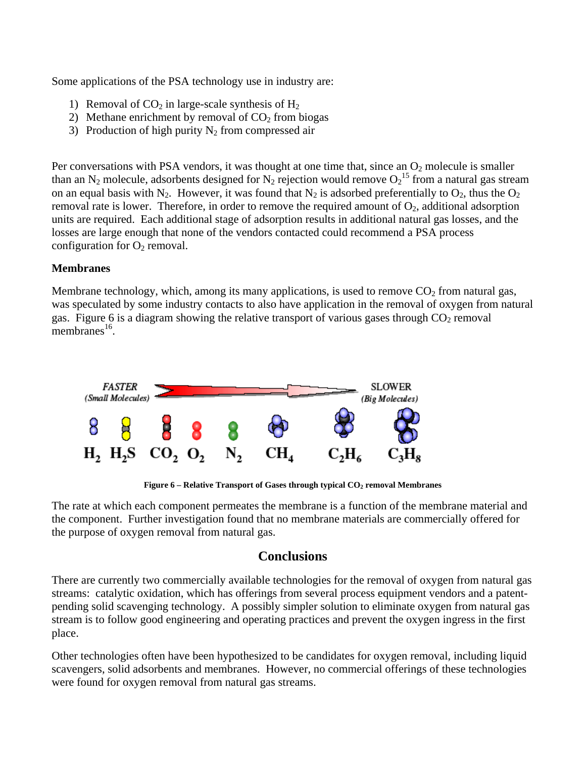Some applications of the PSA technology use in industry are:

- 1) Removal of  $CO<sub>2</sub>$  in large-scale synthesis of  $H<sub>2</sub>$
- 2) Methane enrichment by removal of  $CO<sub>2</sub>$  from biogas
- 3) Production of high purity  $N_2$  from compressed air

Per conversations with PSA vendors, it was thought at one time that, since an  $O_2$  molecule is smaller than an N<sub>2</sub> molecule, adsorbents designed for N<sub>2</sub> rejection would remove  $O_2$ <sup>15</sup> from a natural gas stream on an equal basis with N<sub>2</sub>. However, it was found that N<sub>2</sub> is adsorbed preferentially to  $O_2$ , thus the  $O_2$ removal rate is lower. Therefore, in order to remove the required amount of  $O_2$ , additional adsorption units are required. Each additional stage of adsorption results in additional natural gas losses, and the losses are large enough that none of the vendors contacted could recommend a PSA process configuration for  $O_2$  removal.

### **Membranes**

Membrane technology, which, among its many applications, is used to remove  $CO<sub>2</sub>$  from natural gas, was speculated by some industry contacts to also have application in the removal of oxygen from natural gas. Figure 6 is a diagram showing the relative transport of various gases through  $CO<sub>2</sub>$  removal membranes $^{16}$ .



Figure 6 – Relative Transport of Gases through typical CO<sub>2</sub> removal Membranes

The rate at which each component permeates the membrane is a function of the membrane material and the component. Further investigation found that no membrane materials are commercially offered for the purpose of oxygen removal from natural gas.

### **Conclusions**

There are currently two commercially available technologies for the removal of oxygen from natural gas streams: catalytic oxidation, which has offerings from several process equipment vendors and a patentpending solid scavenging technology. A possibly simpler solution to eliminate oxygen from natural gas stream is to follow good engineering and operating practices and prevent the oxygen ingress in the first place.

Other technologies often have been hypothesized to be candidates for oxygen removal, including liquid scavengers, solid adsorbents and membranes. However, no commercial offerings of these technologies were found for oxygen removal from natural gas streams.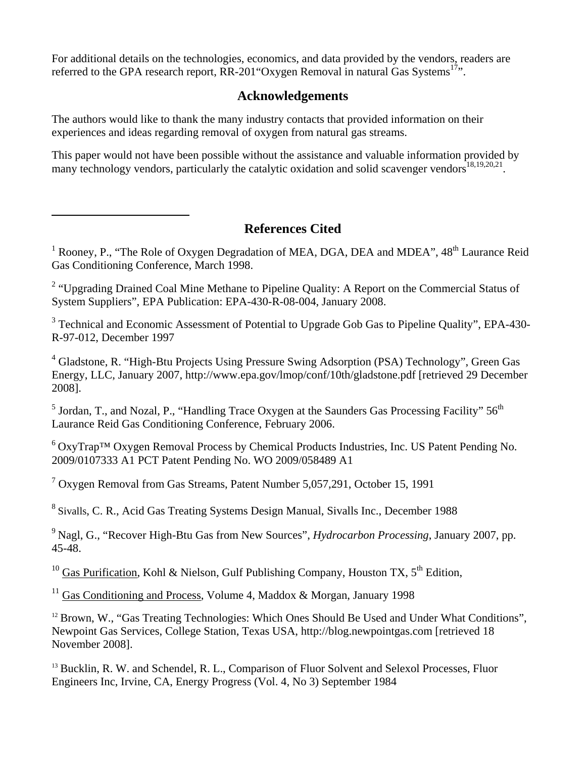For additional details on the technologies, economics, and data provided by the vendors, readers are referred to the GPA research report,  $RR-201$  "Oxygen Removal in natural Gas Systems<sup>17</sup>".

### **Acknowledgements**

The authors would like to thank the many industry contacts that provided information on their experiences and ideas regarding removal of oxygen from natural gas streams.

 $\overline{a}$ 

This paper would not have been possible without the assistance and valuable information provided by many technology vendors, particularly the catalytic oxidation and solid scavenger vendors<sup>18,19,20,21</sup>.

# **References Cited**

<sup>1</sup> Rooney, P., "The Role of Oxygen Degradation of MEA, DGA, DEA and MDEA",  $48<sup>th</sup>$  Laurance Reid Gas Conditioning Conference, March 1998.

<sup>2</sup> "Upgrading Drained Coal Mine Methane to Pipeline Quality: A Report on the Commercial Status of System Suppliers", EPA Publication: EPA-430-R-08-004, January 2008.

<sup>3</sup> Technical and Economic Assessment of Potential to Upgrade Gob Gas to Pipeline Quality", EPA-430-R-97-012, December 1997

<sup>4</sup> Gladstone, R. "High-Btu Projects Using Pressure Swing Adsorption (PSA) Technology", Green Gas Energy, LLC, January 2007, http://www.epa.gov/lmop/conf/10th/gladstone.pdf [retrieved 29 December 2008].

<sup>5</sup> Jordan, T., and Nozal, P., "Handling Trace Oxygen at the Saunders Gas Processing Facility"  $56<sup>th</sup>$ Laurance Reid Gas Conditioning Conference, February 2006.

 $6$  OxyTrap<sup>TM</sup> Oxygen Removal Process by Chemical Products Industries, Inc. US Patent Pending No. 2009/0107333 A1 PCT Patent Pending No. WO 2009/058489 A1

<sup>7</sup> Oxygen Removal from Gas Streams, Patent Number 5,057,291, October 15, 1991

<sup>8</sup> Sivalls, C. R., Acid Gas Treating Systems Design Manual, Sivalls Inc., December 1988

<sup>9</sup> Nagl, G., "Recover High-Btu Gas from New Sources", *Hydrocarbon Processing*, January 2007, pp. 45-48.

<sup>10</sup> Gas Purification, Kohl & Nielson, Gulf Publishing Company, Houston TX,  $5^{th}$  Edition,

<sup>11</sup> Gas Conditioning and Process, Volume 4, Maddox & Morgan, January 1998

<sup>12</sup> Brown, W., "Gas Treating Technologies: Which Ones Should Be Used and Under What Conditions", Newpoint Gas Services, College Station, Texas USA, http://blog.newpointgas.com [retrieved 18 November 2008].

<sup>13</sup> Bucklin, R. W. and Schendel, R. L., Comparison of Fluor Solvent and Selexol Processes, Fluor Engineers Inc, Irvine, CA, Energy Progress (Vol. 4, No 3) September 1984